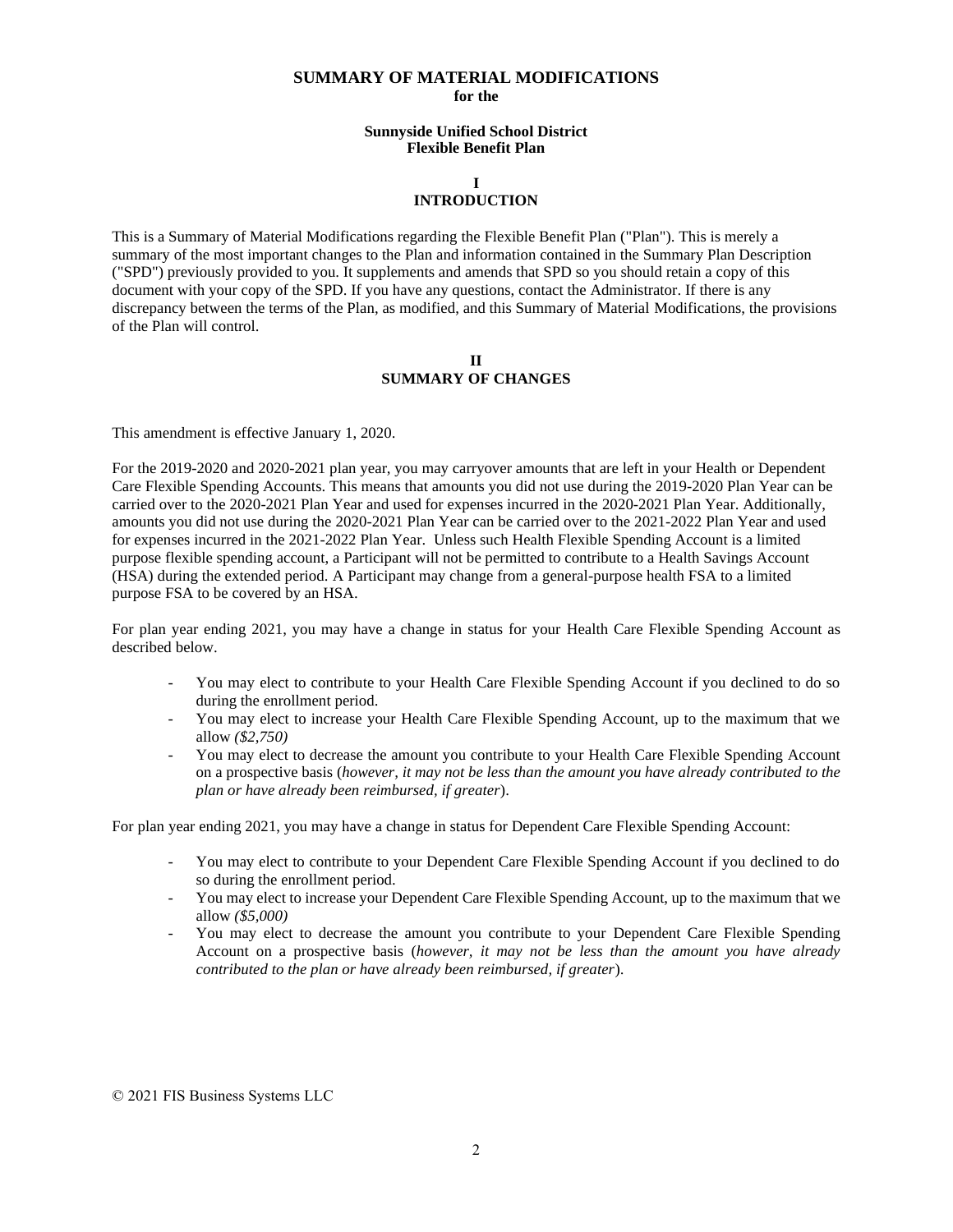## **SUMMARY OF MATERIAL MODIFICATIONS for the**

## **Sunnyside Unified School District Flexible Benefit Plan**

## **I INTRODUCTION**

This is a Summary of Material Modifications regarding the Flexible Benefit Plan ("Plan"). This is merely a summary of the most important changes to the Plan and information contained in the Summary Plan Description ("SPD") previously provided to you. It supplements and amends that SPD so you should retain a copy of this document with your copy of the SPD. If you have any questions, contact the Administrator. If there is any discrepancy between the terms of the Plan, as modified, and this Summary of Material Modifications, the provisions of the Plan will control.

## **II SUMMARY OF CHANGES**

This amendment is effective January 1, 2020.

For the 2019-2020 and 2020-2021 plan year, you may carryover amounts that are left in your Health or Dependent Care Flexible Spending Accounts. This means that amounts you did not use during the 2019-2020 Plan Year can be carried over to the 2020-2021 Plan Year and used for expenses incurred in the 2020-2021 Plan Year. Additionally, amounts you did not use during the 2020-2021 Plan Year can be carried over to the 2021-2022 Plan Year and used for expenses incurred in the 2021-2022 Plan Year. Unless such Health Flexible Spending Account is a limited purpose flexible spending account, a Participant will not be permitted to contribute to a Health Savings Account (HSA) during the extended period. A Participant may change from a general-purpose health FSA to a limited purpose FSA to be covered by an HSA.

For plan year ending 2021, you may have a change in status for your Health Care Flexible Spending Account as described below.

- You may elect to contribute to your Health Care Flexible Spending Account if you declined to do so during the enrollment period.
- You may elect to increase your Health Care Flexible Spending Account, up to the maximum that we allow *(\$2,750)*
- You may elect to decrease the amount you contribute to your Health Care Flexible Spending Account on a prospective basis (*however, it may not be less than the amount you have already contributed to the plan or have already been reimbursed, if greater*).

For plan year ending 2021, you may have a change in status for Dependent Care Flexible Spending Account:

- You may elect to contribute to your Dependent Care Flexible Spending Account if you declined to do so during the enrollment period.
- You may elect to increase your Dependent Care Flexible Spending Account, up to the maximum that we allow *(\$5,000)*
- You may elect to decrease the amount you contribute to your Dependent Care Flexible Spending Account on a prospective basis (*however, it may not be less than the amount you have already contributed to the plan or have already been reimbursed, if greater*).